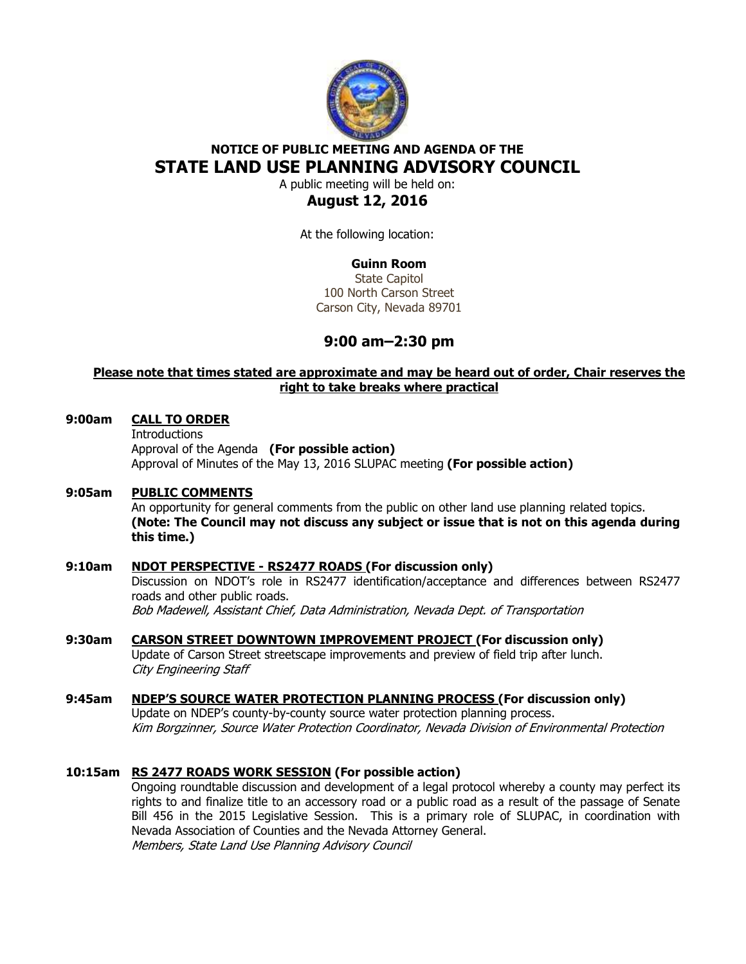

# **NOTICE OF PUBLIC MEETING AND AGENDA OF THE STATE LAND USE PLANNING ADVISORY COUNCIL**

A public meeting will be held on:

# **August 12, 2016**

At the following location:

## **Guinn Room**

State Capitol 100 North Carson Street Carson City, Nevada 89701

# **9:00 am–2:30 pm**

## **Please note that times stated are approximate and may be heard out of order, Chair reserves the right to take breaks where practical**

#### **9:00am CALL TO ORDER**

**Introductions**  Approval of the Agenda **(For possible action)** Approval of Minutes of the May 13, 2016 SLUPAC meeting **(For possible action)** 

## **9:05am PUBLIC COMMENTS**

An opportunity for general comments from the public on other land use planning related topics. **(Note: The Council may not discuss any subject or issue that is not on this agenda during this time.)** 

## **9:10am NDOT PERSPECTIVE - RS2477 ROADS (For discussion only)**

Discussion on NDOT's role in RS2477 identification/acceptance and differences between RS2477 roads and other public roads. Bob Madewell, Assistant Chief, Data Administration, Nevada Dept. of Transportation

#### **9:30am CARSON STREET DOWNTOWN IMPROVEMENT PROJECT (For discussion only)**  Update of Carson Street streetscape improvements and preview of field trip after lunch. City Engineering Staff

#### **9:45am NDEP'S SOURCE WATER PROTECTION PLANNING PROCESS (For discussion only)**  Update on NDEP's county-by-county source water protection planning process. Kim Borgzinner, Source Water Protection Coordinator, Nevada Division of Environmental Protection

## **10:15am RS 2477 ROADS WORK SESSION (For possible action)**

 Ongoing roundtable discussion and development of a legal protocol whereby a county may perfect its rights to and finalize title to an accessory road or a public road as a result of the passage of Senate Bill 456 in the 2015 Legislative Session. This is a primary role of SLUPAC, in coordination with Nevada Association of Counties and the Nevada Attorney General. Members, State Land Use Planning Advisory Council